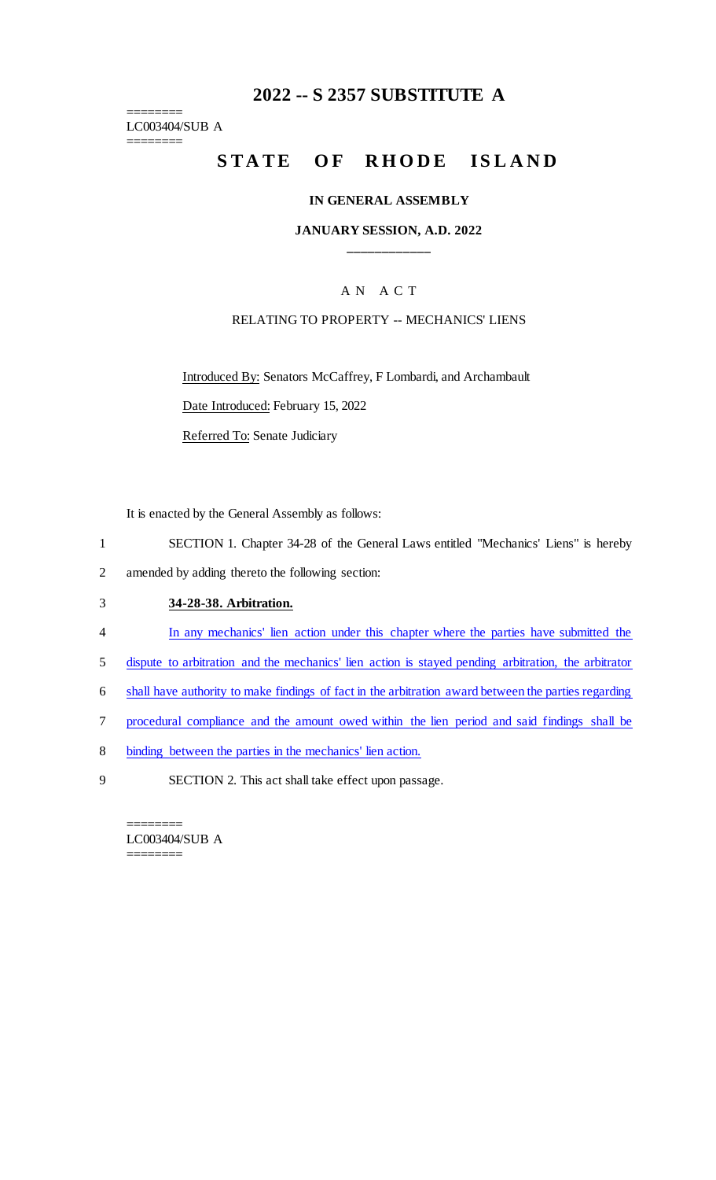## **2022 -- S 2357 SUBSTITUTE A**

======== LC003404/SUB A ========

# **STATE OF RHODE ISLAND**

#### **IN GENERAL ASSEMBLY**

#### **JANUARY SESSION, A.D. 2022 \_\_\_\_\_\_\_\_\_\_\_\_**

## A N A C T

#### RELATING TO PROPERTY -- MECHANICS' LIENS

Introduced By: Senators McCaffrey, F Lombardi, and Archambault

Date Introduced: February 15, 2022

Referred To: Senate Judiciary

It is enacted by the General Assembly as follows:

- 1 SECTION 1. Chapter 34-28 of the General Laws entitled "Mechanics' Liens" is hereby
- 2 amended by adding thereto the following section:

## 3 **34-28-38. Arbitration.**

- 4 In any mechanics' lien action under this chapter where the parties have submitted the
- 5 dispute to arbitration and the mechanics' lien action is stayed pending arbitration, the arbitrator
- 6 shall have authority to make findings of fact in the arbitration award between the parties regarding
- 7 procedural compliance and the amount owed within the lien period and said findings shall be
- 8 binding between the parties in the mechanics' lien action.
- 9 SECTION 2. This act shall take effect upon passage.

======== LC003404/SUB A ========